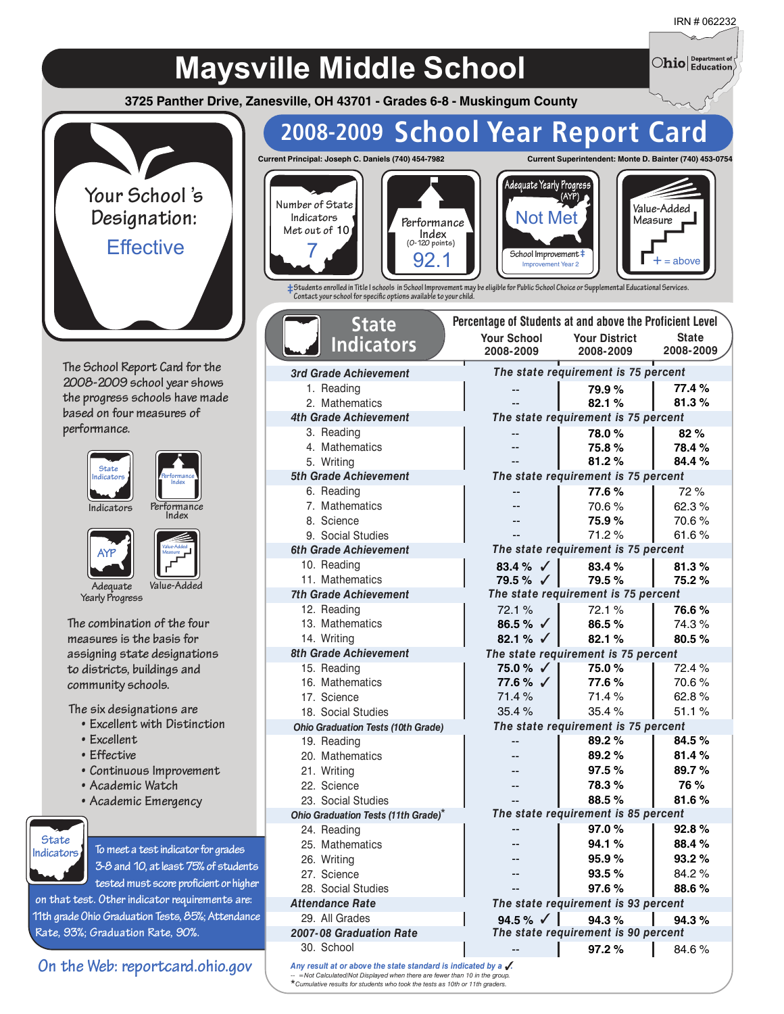$\bigcirc$ hio  $\big|_{\text{Education}}^{\text{Department of}}\big\rangle$ 

## **Maysville Middle School**

**3725 Panther Drive, Zanesville, OH 43701 - Grades 6-8 - Muskingum County**



**The School Report Card for the 2008-2009 school year shows the progress schools have made based on four measures of performance.**



**Performance**



**Value-Added Measure**

**Adequate Value-Added Yearly Progress**

**The combination of the four measures is the basis for assigning state designations to districts, buildings and community schools.**

**The six designations are**

- **• Excellent with Distinction**
- **• Excellent**
- **• Effective**
- **• Continuous Improvement**
- **• Academic Watch**
- **• Academic Emergency**



**To meeta test indicator for grades 3-8 and 10, at least75% of students**

tested must score proficient or higher **on that test. Other indicator requirements are: 11th grade Ohio Graduation Tests, 85%; Attendance Rate, 93%; Graduation Rate, 90%.**

**On the Web: reportcard.ohio.gov**

## **2008-2009 School Year Report Card**







**‡Students enrolled in Title I schools in School Improvement may be eligible for Public School Choice or Supplemental Educational Services. Contact your school for specific options available to your child.**

**(0-120 points)**

| Percentage of Students at and above the Proficient Level<br><b>State</b>                                                                               |                       |                                     |              |  |  |  |  |
|--------------------------------------------------------------------------------------------------------------------------------------------------------|-----------------------|-------------------------------------|--------------|--|--|--|--|
| <b>Indicators</b>                                                                                                                                      | <b>Your School</b>    | <b>Your District</b>                | <b>State</b> |  |  |  |  |
|                                                                                                                                                        | 2008-2009             | 2008-2009                           | 2008-2009    |  |  |  |  |
| 3rd Grade Achievement                                                                                                                                  |                       | The state requirement is 75 percent |              |  |  |  |  |
| 1. Reading                                                                                                                                             |                       | 79.9%                               | 77.4%        |  |  |  |  |
| 2. Mathematics                                                                                                                                         |                       | 82.1%                               | 81.3%        |  |  |  |  |
| <b>4th Grade Achievement</b>                                                                                                                           |                       | The state requirement is 75 percent |              |  |  |  |  |
| 3. Reading                                                                                                                                             |                       | 78.0%                               | 82%          |  |  |  |  |
| 4. Mathematics                                                                                                                                         | $-$                   | 75.8%                               | 78.4%        |  |  |  |  |
| 5. Writing                                                                                                                                             |                       | 81.2%                               | 84.4%        |  |  |  |  |
| 5th Grade Achievement                                                                                                                                  |                       | The state requirement is 75 percent |              |  |  |  |  |
| 6. Reading                                                                                                                                             |                       | 77.6%                               | 72 %         |  |  |  |  |
| 7. Mathematics                                                                                                                                         |                       | 70.6%                               | 62.3%        |  |  |  |  |
| 8. Science                                                                                                                                             |                       | 75.9%                               | 70.6%        |  |  |  |  |
| 9. Social Studies                                                                                                                                      |                       | 71.2%                               | 61.6%        |  |  |  |  |
| <b>6th Grade Achievement</b>                                                                                                                           |                       | The state requirement is 75 percent |              |  |  |  |  |
| 10. Reading                                                                                                                                            | 83.4 % $\sqrt{ }$     | 83.4%                               | 81.3%        |  |  |  |  |
| 11. Mathematics                                                                                                                                        | $79.5\%$ $\checkmark$ | 79.5%                               | 75.2%        |  |  |  |  |
| <b>7th Grade Achievement</b>                                                                                                                           |                       | The state requirement is 75 percent |              |  |  |  |  |
| 12. Reading                                                                                                                                            | 72.1%                 | 72.1%                               | 76.6%        |  |  |  |  |
| 13. Mathematics                                                                                                                                        | 86.5 % $\checkmark$   | 86.5%                               | 74.3%        |  |  |  |  |
| 14. Writing                                                                                                                                            | 82.1 % $\sqrt{ }$     | 82.1%                               | 80.5%        |  |  |  |  |
| 8th Grade Achievement                                                                                                                                  |                       | The state requirement is 75 percent |              |  |  |  |  |
| 15. Reading                                                                                                                                            | 75.0 % √              | 75.0%                               | 72.4%        |  |  |  |  |
| 16. Mathematics                                                                                                                                        | 77.6 % √              | 77.6%                               | 70.6%        |  |  |  |  |
| 17. Science                                                                                                                                            | 71.4%                 | 71.4%                               | 62.8%        |  |  |  |  |
| 18. Social Studies                                                                                                                                     | 35.4%                 | 35.4%                               | 51.1%        |  |  |  |  |
| <b>Ohio Graduation Tests (10th Grade)</b>                                                                                                              |                       | The state requirement is 75 percent |              |  |  |  |  |
| 19. Reading                                                                                                                                            | --                    | 89.2%                               | 84.5%        |  |  |  |  |
| 20. Mathematics                                                                                                                                        |                       | 89.2%                               | 81.4%        |  |  |  |  |
| 21. Writing                                                                                                                                            |                       | 97.5%                               | 89.7%        |  |  |  |  |
| 22. Science                                                                                                                                            |                       | 78.3%                               | <b>76 %</b>  |  |  |  |  |
| 23. Social Studies                                                                                                                                     |                       | 88.5%                               | 81.6%        |  |  |  |  |
| Ohio Graduation Tests (11th Grade)*                                                                                                                    |                       | The state requirement is 85 percent |              |  |  |  |  |
| 24. Reading                                                                                                                                            |                       | 97.0%                               | 92.8%        |  |  |  |  |
| 25. Mathematics                                                                                                                                        |                       | 94.1%                               | 88.4%        |  |  |  |  |
| 26. Writing                                                                                                                                            |                       | 95.9%                               | 93.2%        |  |  |  |  |
| 27. Science                                                                                                                                            |                       | 93.5%                               | 84.2%        |  |  |  |  |
| 28. Social Studies                                                                                                                                     |                       | 97.6%                               | 88.6%        |  |  |  |  |
| <b>Attendance Rate</b>                                                                                                                                 |                       | The state requirement is 93 percent |              |  |  |  |  |
| 29. All Grades                                                                                                                                         | 94.5 % $\sqrt{ }$     | 94.3%                               | 94.3%        |  |  |  |  |
| 2007-08 Graduation Rate                                                                                                                                |                       | The state requirement is 90 percent |              |  |  |  |  |
| 30. School                                                                                                                                             |                       | 97.2%                               | 84.6%        |  |  |  |  |
| Any result at or above the state standard is indicated by a $\sqrt{ }$ .<br>$=$ Not Calculated/Not Displayed when there are fewer than 10 in the group |                       |                                     |              |  |  |  |  |

*Any result -- =Not Calculated/Not Displayed when there are fewer than 10 in the group. Cumulative results for students who took the tests as 10th or 11th graders.* \*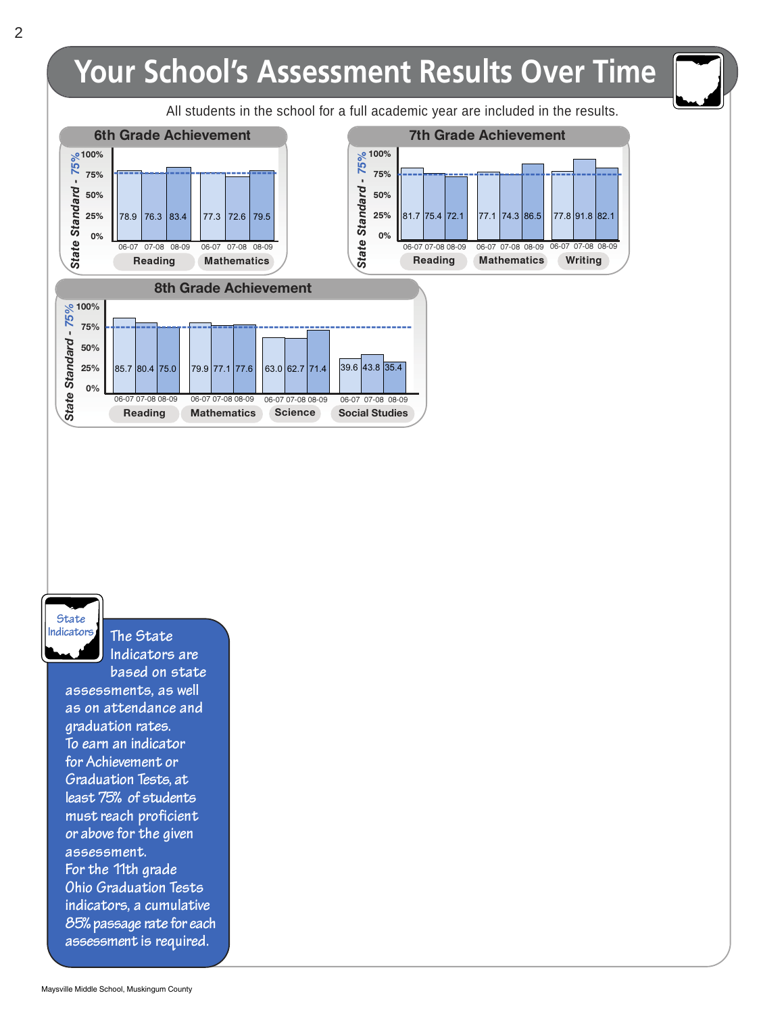

**State Indicators**

**The State Indicators are**

**based on state assessments, as well as on attendance and graduation rates. To earn an indicator for Achievement or Graduation Tests, at least75% of students must reach proficient or above for the given assessment. For the 11th grade Ohio Graduation Tests indicators, a cumulative 85% passage rate for each assessment is required.**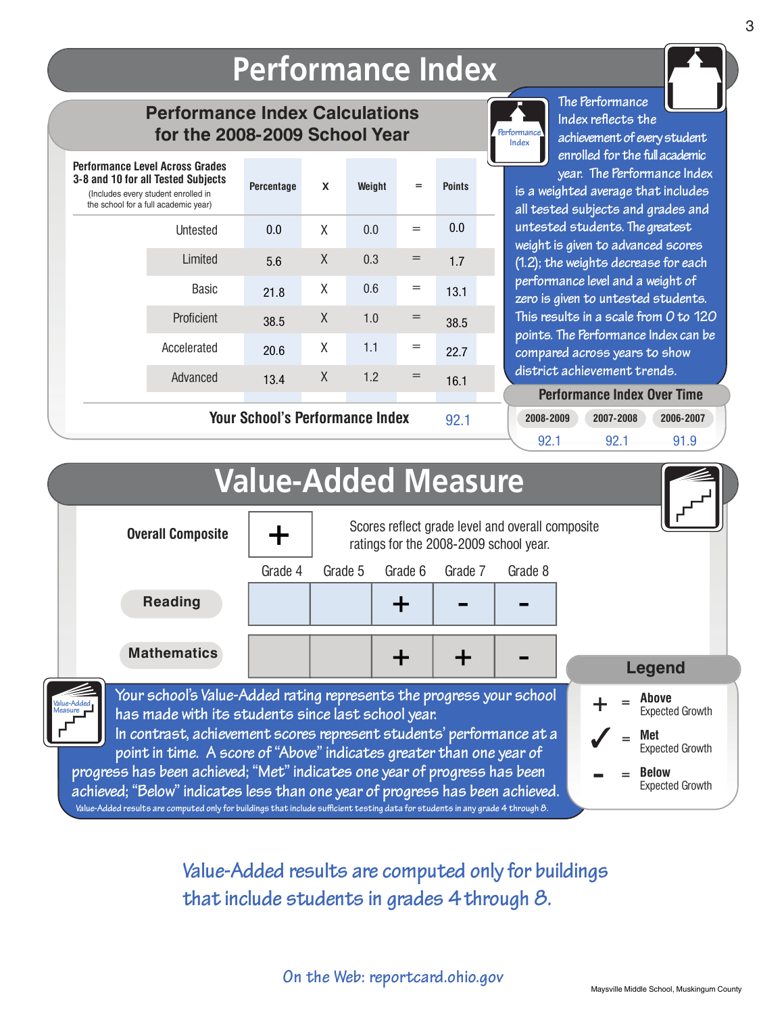## **Performance Index**

### **Performance Index Calculations for the 2008-2009 School Year**

| <b>Performance Level Across Grades</b><br>3-8 and 10 for all Tested Subjects<br>(Includes every student enrolled in<br>the school for a full academic year) | Percentage                      | X | Weight | $=$ | <b>Points</b> |  |
|-------------------------------------------------------------------------------------------------------------------------------------------------------------|---------------------------------|---|--------|-----|---------------|--|
| Untested                                                                                                                                                    | 0.0                             | X | 0.0    | $=$ | 0.0           |  |
| Limited                                                                                                                                                     | 5.6                             | X | 0.3    | $=$ | 1.7           |  |
| Basic                                                                                                                                                       | 21.8                            | X | 0.6    | $=$ | 13.1          |  |
| Proficient                                                                                                                                                  | 38.5                            | X | 1.0    | $=$ | 38.5          |  |
| Accelerated                                                                                                                                                 | 20.6                            | X | 1.1    | $=$ | 22.7          |  |
| Advanced                                                                                                                                                    | 13.4                            | X | 1.2    | $=$ | 16.1          |  |
|                                                                                                                                                             | Your School's Performance Index |   |        |     | ററ +          |  |

**Your School's Performance Index**



**The Performance Index reflects the achievement of every student enrolled for the fullacademic year. The Performance Index**

**is a weighted average that includes all tested subjects and grades and untested students. The greatest weight is given to advanced scores (1.2); the weights decrease for each performance level and a weight of zero is given to untested students. This results in a scale from 0 to 120 points. The Performance Index can be compared across years to show district achievement trends.**

**Performance Index Over Time Performance Index Over Time**

**2008-2009 2007-2008 2006-2007**

|                                                                                                                                                            |                            |         |                                        | JZ.I    | 92.1                                             | 92.1<br>91.9                           |
|------------------------------------------------------------------------------------------------------------------------------------------------------------|----------------------------|---------|----------------------------------------|---------|--------------------------------------------------|----------------------------------------|
|                                                                                                                                                            | <b>Value-Added Measure</b> |         |                                        |         |                                                  |                                        |
| <b>Overall Composite</b>                                                                                                                                   |                            |         | ratings for the 2008-2009 school year. |         | Scores reflect grade level and overall composite |                                        |
|                                                                                                                                                            | Grade 4                    | Grade 5 | Grade 6                                | Grade 7 | Grade 8                                          |                                        |
| <b>Reading</b>                                                                                                                                             |                            |         |                                        |         |                                                  |                                        |
| <b>Mathematics</b>                                                                                                                                         |                            |         |                                        |         |                                                  | <b>Legend</b>                          |
| Your school's Value-Added rating represents the progress your school<br>Value-Adde<br>has made with its students since last school year.                   |                            |         |                                        |         |                                                  | Above<br><b>Expected Growth</b>        |
| In contrast, achievement scores represent students' performance at a<br>point in time. A score of "Above" indicates greater than one year of               |                            |         |                                        |         |                                                  | Met<br><b>Expected Growth</b>          |
| progress has been achieved; "Met" indicates one year of progress has been<br>achieved; "Below" indicates less than one year of progress has been achieved. |                            |         |                                        |         |                                                  | <b>Below</b><br><b>Expected Growth</b> |

**Value-Added results are computed only for buildings that include sufficient testing data for students in any grade 4 through 8.**

**Value-Added results are computed only for buildings Value-Added results are computed only for buildings that include students in grades 4through 8. that include students in grades 4 through 8.**

**On the Web: reportcard.ohio.gov On the Web: reportcard.ohio.gov**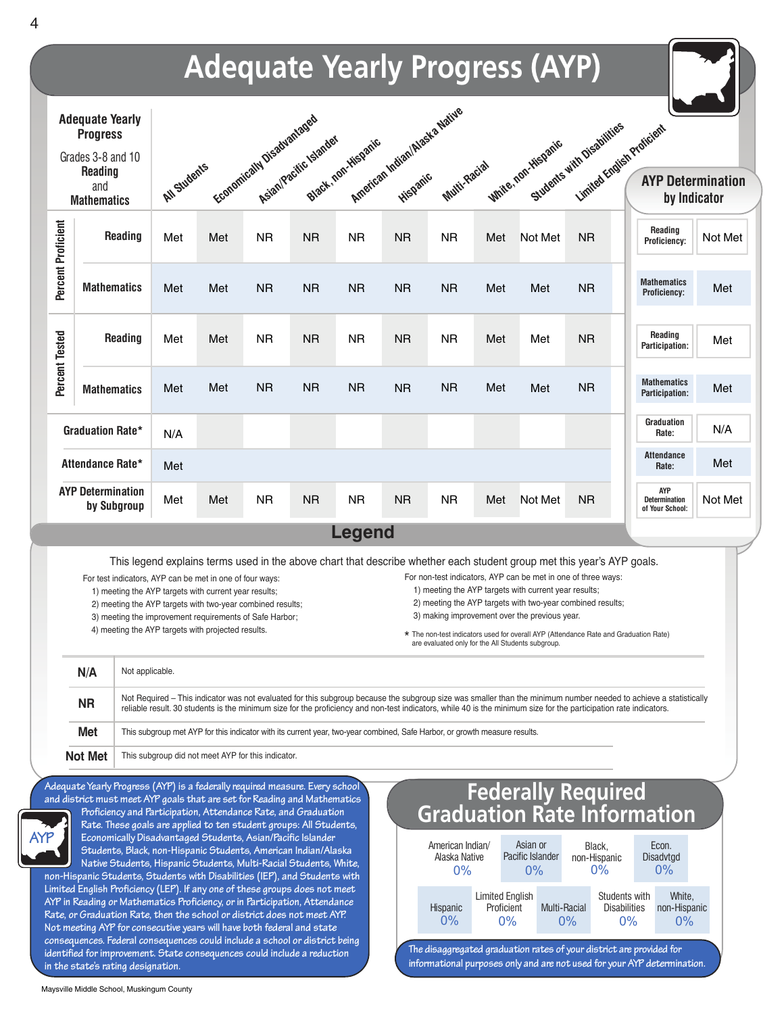

**Maysville Middle School, Muskingum County**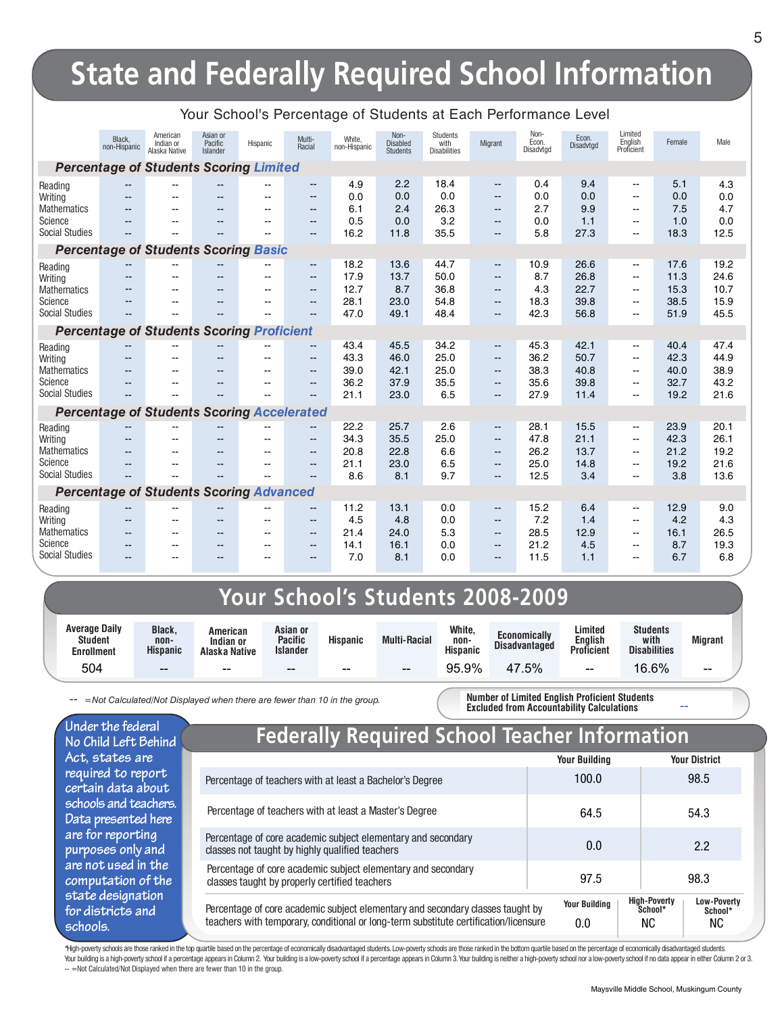# **State and Federally Required School Information**

|                                  | Black.<br>non-Hispanic   | American<br>Indian or<br>Alaska Native            | Asian or<br>Pacific<br><b>Islander</b> | Hispanic | Multi-<br>Racial  | White,<br>non-Hispanic | Non-<br><b>Disabled</b><br><b>Students</b> | Students<br>with<br><b>Disabilities</b> | Migrant                  | Non-<br>Econ.<br>Disadvtgd | Econ.<br>Disadvtgd | Limited<br>English<br>Proficient                     | Female       | Male         |
|----------------------------------|--------------------------|---------------------------------------------------|----------------------------------------|----------|-------------------|------------------------|--------------------------------------------|-----------------------------------------|--------------------------|----------------------------|--------------------|------------------------------------------------------|--------------|--------------|
|                                  |                          | <b>Percentage of Students Scoring Limited</b>     |                                        |          |                   |                        |                                            |                                         |                          |                            |                    |                                                      |              |              |
| Reading                          | --                       | $-$                                               | $\overline{\phantom{a}}$               | $-$      | --                | 4.9                    | 2.2                                        | 18.4                                    | $\overline{\phantom{a}}$ | 0.4                        | 9.4                | $\overline{\phantom{a}}$                             | 5.1          | 4.3          |
| Writing                          | --                       |                                                   |                                        |          | --                | 0.0                    | 0.0                                        | 0.0                                     | $\qquad \qquad -$        | 0.0                        | 0.0                | $\mathbf{u}$                                         | 0.0          | 0.0          |
| <b>Mathematics</b><br>Science    | --                       | $\overline{\phantom{a}}$                          | $\overline{\phantom{a}}$               | --       | $\qquad \qquad -$ | 6.1<br>0.5             | 2.4                                        | 26.3<br>3.2                             | $\qquad \qquad -$        | 2.7<br>0.0                 | 9.9<br>1.1         | $\sim$                                               | 7.5          | 4.7<br>0.0   |
| <b>Social Studies</b>            | --                       |                                                   | $\overline{\phantom{a}}$               |          | $- -$<br>$-1$     | 16.2                   | 0.0<br>11.8                                | 35.5                                    | $- -$<br>$- -$           | 5.8                        | 27.3               | $\overline{\phantom{a}}$<br>$\overline{\phantom{a}}$ | 1.0<br>18.3  | 12.5         |
|                                  |                          | <b>Percentage of Students Scoring Basic</b>       |                                        |          |                   |                        |                                            |                                         |                          |                            |                    |                                                      |              |              |
| Reading                          |                          | $\overline{\phantom{a}}$                          | --                                     |          | $\qquad \qquad -$ | 18.2                   | 13.6                                       | 44.7                                    | $\qquad \qquad -$        | 10.9                       | 26.6               | $\overline{\phantom{a}}$                             | 17.6         | 19.2         |
| Writing                          | --                       | $-$                                               |                                        |          | $- -$             | 17.9                   | 13.7                                       | 50.0                                    | $- -$                    | 8.7                        | 26.8               | $\overline{\phantom{a}}$                             | 11.3         | 24.6         |
| <b>Mathematics</b>               |                          | $\overline{a}$                                    | $-$                                    | $\sim$   | $\sim$            | 12.7                   | 8.7                                        | 36.8                                    | $-$                      | 4.3                        | 22.7               | $\overline{a}$                                       | 15.3         | 10.7         |
| Science                          | --                       | --                                                | $-$                                    | --       | $- -$             | 28.1                   | 23.0                                       | 54.8                                    | $- -$                    | 18.3                       | 39.8               | $\overline{\phantom{a}}$                             | 38.5         | 15.9         |
| <b>Social Studies</b>            |                          |                                                   |                                        |          | --                | 47.0                   | 49.1                                       | 48.4                                    | $- -$                    | 42.3                       | 56.8               | $\sim$                                               | 51.9         | 45.5         |
|                                  |                          | <b>Percentage of Students Scoring Proficient</b>  |                                        |          |                   |                        |                                            |                                         |                          |                            |                    |                                                      |              |              |
| Reading                          |                          |                                                   |                                        |          | --                | 43.4                   | 45.5                                       | 34.2                                    | $\qquad \qquad -$        | 45.3                       | 42.1               | $\overline{\phantom{a}}$                             | 40.4         | 47.4         |
| Writing                          | $-$                      | $-$                                               | --                                     | $-$      | --                | 43.3                   | 46.0                                       | 25.0                                    | $- -$                    | 36.2                       | 50.7               | $\mathbf{u}$                                         | 42.3         | 44.9         |
| <b>Mathematics</b>               | --                       | $\overline{\phantom{a}}$                          | $\overline{\phantom{a}}$               | $- -$    | $- -$             | 39.0                   | 42.1                                       | 25.0                                    | $- -$                    | 38.3                       | 40.8               | $\sim$                                               | 40.0         | 38.9         |
| Science<br><b>Social Studies</b> | $-$                      | $\sim$<br>$-$                                     | $-$                                    | $-$      | $- -$<br>$- -$    | 36.2<br>21.1           | 37.9<br>23.0                               | 35.5<br>6.5                             | $- -$                    | 35.6<br>27.9               | 39.8<br>11.4       | $\sim$<br>$\overline{a}$                             | 32.7<br>19.2 | 43.2<br>21.6 |
|                                  |                          |                                                   |                                        |          |                   |                        |                                            |                                         | $- -$                    |                            |                    |                                                      |              |              |
|                                  |                          | <b>Percentage of Students Scoring Accelerated</b> |                                        |          |                   |                        |                                            |                                         |                          |                            |                    |                                                      |              |              |
| Reading                          |                          |                                                   |                                        |          | --                | 22.2                   | 25.7                                       | 2.6                                     | $\overline{\phantom{a}}$ | 28.1                       | 15.5               | $\overline{\phantom{a}}$                             | 23.9         | 20.1         |
| Writing<br><b>Mathematics</b>    | $-$<br>$-$               | --                                                | $-$                                    |          | --<br>$- -$       | 34.3<br>20.8           | 35.5<br>22.8                               | 25.0<br>6.6                             | $- -$<br>$- -$           | 47.8<br>26.2               | 21.1<br>13.7       | $\mathbf{u}$<br>$\mathbf{u}$                         | 42.3<br>21.2 | 26.1<br>19.2 |
| Science                          | --                       |                                                   | --                                     |          | $-$               | 21.1                   | 23.0                                       | 6.5                                     | $- -$                    | 25.0                       | 14.8               | $\mathbf{u}$                                         | 19.2         | 21.6         |
| <b>Social Studies</b>            |                          |                                                   |                                        |          | --                | 8.6                    | 8.1                                        | 9.7                                     | $- -$                    | 12.5                       | 3.4                | $\sim$                                               | 3.8          | 13.6         |
|                                  |                          | <b>Percentage of Students Scoring Advanced</b>    |                                        |          |                   |                        |                                            |                                         |                          |                            |                    |                                                      |              |              |
| Reading                          | $\overline{\phantom{a}}$ | $-$                                               | $\overline{\phantom{a}}$               | $-$      | --                | 11.2                   | 13.1                                       | 0.0                                     | $\overline{\phantom{a}}$ | 15.2                       | 6.4                | $\mathbf{u}$                                         | 12.9         | 9.0          |
| Writing                          | $\overline{\phantom{a}}$ | $\sim$                                            | $- -$                                  | $-1$     | $\frac{1}{2}$     | 4.5                    | 4.8                                        | 0.0                                     | $\overline{\phantom{a}}$ | 7.2                        | 1.4                | $\mathbf{u}$                                         | 4.2          | 4.3          |
| <b>Mathematics</b>               | --                       | --                                                | $\overline{\phantom{a}}$               | --       | $\frac{1}{2}$     | 21.4                   | 24.0                                       | 5.3                                     | $- -$                    | 28.5                       | 12.9               | $\mathbf{u}$                                         | 16.1         | 26.5         |
| Science                          | --                       | --                                                | $-$                                    | $- -$    | $- -$             | 14.1                   | 16.1                                       | 0.0                                     | $- -$                    | 21.2                       | 4.5                | $\overline{\phantom{a}}$                             | 8.7          | 19.3         |
| <b>Social Studies</b>            |                          | --                                                | $\sim$                                 | --       | $-1$              | 7.0                    | 8.1                                        | 0.0                                     | $- -$                    | 11.5                       | 1.1                | $\overline{a}$                                       | 6.7          | 6.8          |
|                                  |                          |                                                   |                                        |          |                   |                        |                                            |                                         |                          |                            |                    |                                                      |              |              |

#### Your School's Percentage of Students at Each Performance Level

### **Your School's Students 2008-2009**

| <b>Average Daily</b><br><b>Student</b><br><b>Enrollment</b> | <b>Black,</b><br>non-<br><b>Hispanic</b> | American<br>Indian or<br>Alaska Native | Asian or<br><b>Pacific</b><br><b>Islander</b> | <b>Hispanic</b> | <b>Multi-Racial</b> | White,<br>non-<br><b>Hispanic</b> | <b>Economically</b><br><b>Disadvantaged</b> | Limited<br>Enalish<br><b>Proficient</b> | <b>Students</b><br>with<br><b>Disabilities</b> | <b>Migrant</b> |
|-------------------------------------------------------------|------------------------------------------|----------------------------------------|-----------------------------------------------|-----------------|---------------------|-----------------------------------|---------------------------------------------|-----------------------------------------|------------------------------------------------|----------------|
| 504                                                         | $- -$                                    | $- -$                                  | $- -$                                         | $- -$           | $- -$               | 95.9%                             | .5%                                         | --                                      | .6%<br>ĥ                                       | $- -$          |

*-- =Not Calculated/Not Displayed when there are fewer than 10 in the group.*

**Number of Limited English Proficient Students Excluded from Accountability Calculations**

**Under the federal No Child Left Behind Act, states are required to report certain data about schools and teachers. Data presented here are for reporting purposes only and are not used in the computation of the state designation for districts and schools.**

### **Federally Required School Teacher Information**

|                                                                                                                                                                        | <b>Your Building</b>        | <b>Your District</b>                                                        |
|------------------------------------------------------------------------------------------------------------------------------------------------------------------------|-----------------------------|-----------------------------------------------------------------------------|
| Percentage of teachers with at least a Bachelor's Degree                                                                                                               | 100.0                       | 98.5                                                                        |
| Percentage of teachers with at least a Master's Degree                                                                                                                 | 64.5                        | 54.3                                                                        |
| Percentage of core academic subject elementary and secondary<br>classes not taught by highly qualified teachers                                                        | 0.0                         | 2.2                                                                         |
| Percentage of core academic subject elementary and secondary<br>classes taught by properly certified teachers                                                          | 97.5                        | 98.3                                                                        |
| Percentage of core academic subject elementary and secondary classes taught by<br>teachers with temporary, conditional or long-term substitute certification/licensure | <b>Your Building</b><br>0.0 | <b>High-Poverty</b><br><b>Low-Poverty</b><br>School*<br>School*<br>NC<br>NC |

\*High-poverty schools are those ranked in the top quartile based on the percentage of economically disadvantaged students. Low-poverty schools are those ranked in the bottom quartile based on the percentage of economically Your building is a high-poverty school if a percentage appears in Column 2. Your building is a low-poverty school if a percentage appears in Column 3. Your building is neither a high-poverty school or a low-poverty school -- =Not Calculated/Not Displayed when there are fewer than 10 in the group.

**--**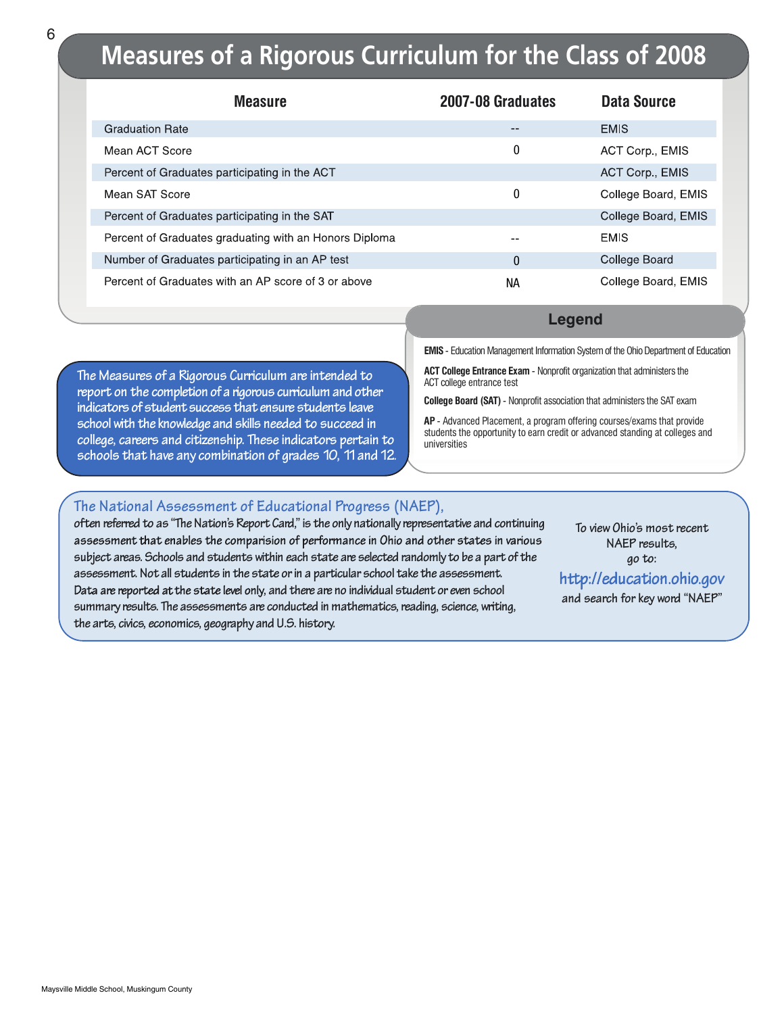## **Measures of a Rigorous Curriculum for the Class of 2008**

| <b>Measure</b>                                         | 2007-08 Graduates | Data Source         |
|--------------------------------------------------------|-------------------|---------------------|
| <b>Graduation Rate</b>                                 | --                | <b>EMIS</b>         |
| Mean ACT Score                                         | 0                 | ACT Corp., EMIS     |
| Percent of Graduates participating in the ACT          |                   | ACT Corp., EMIS     |
| Mean SAT Score                                         | 0                 | College Board, EMIS |
| Percent of Graduates participating in the SAT          |                   | College Board, EMIS |
| Percent of Graduates graduating with an Honors Diploma | --                | <b>EMIS</b>         |
| Number of Graduates participating in an AP test        | 0                 | College Board       |
| Percent of Graduates with an AP score of 3 or above    | NА                | College Board, EMIS |

**The Measures of a Rigorous Curriculum are intended to report on the completion of a rigorous curriculum and other indicators of student success that ensure students leave school with the knowledge and skills needed to succeed in college, careers and citizenship. These indicators pertain to schools that have any combination of grades 10, 11and12.**

#### **Legend**

**EMIS** - Education Management Information System of the Ohio Department of Education

**ACT College Entrance Exam** - Nonprofit organization that administers the ACT college entrance test

**College Board (SAT)**- Nonprofit association that administers the SAT exam

**AP** - Advanced Placement, a program offering courses/exams that provide students the opportunity to earn credit or advanced standing at colleges and universities

#### **The National Assessment of Educational Progress (NAEP),**

**often referred to as "The Nation's Report Card," is the only nationally representative and continuing** assessment that enables the comparision of performance in Ohio and other states in various **subject areas. Schools and students within each state are selected randomly to be a part of the assessment. Not all students in the state or in a particular school take the assessment.** Data are reported at the state level only, and there are no individual student or even school **summary results. The assessments are conducted in mathematics, reading, science, writing, the arts, civics, economics, geography and U.S. history.**

**To view Ohio's most recent NAEP results, go to:**

http://education.ohio.gov

**and search for key word "NAEP"**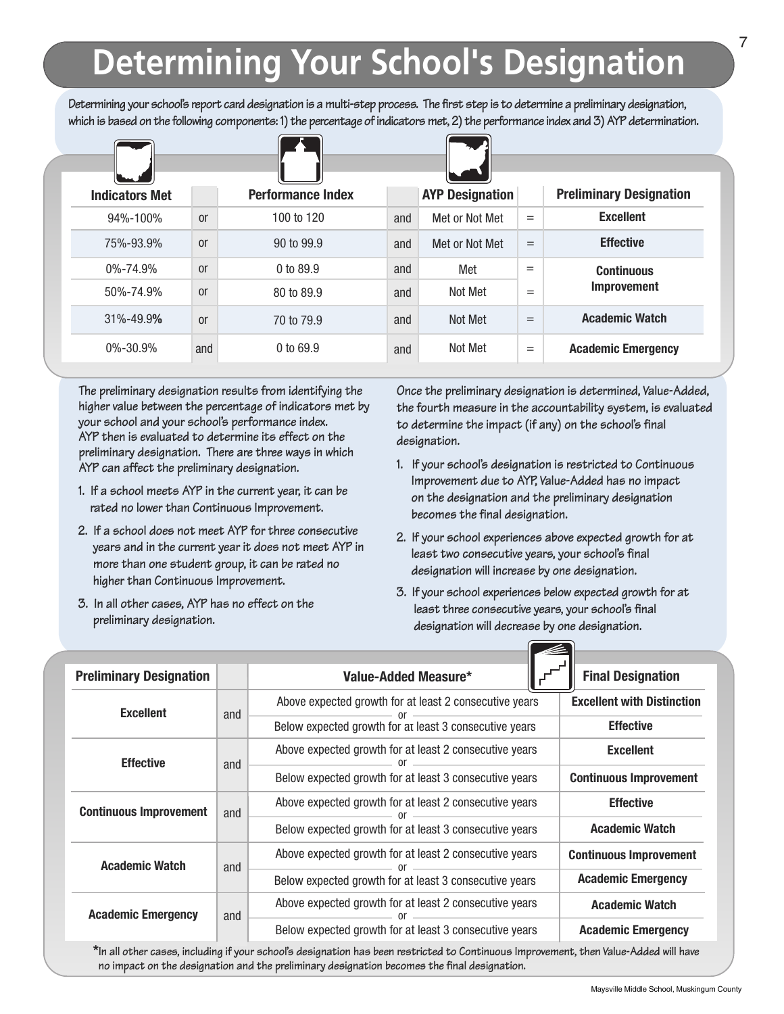# **Determining Your School's Designation**

**Determining your school's report card designation is a multi-step process. The first step is to determine a preliminary designation, which is based on the following components: 1) the percentage of indicators met, 2) the performance index and 3) AYP determination.**

| <b>Indicators Met</b> |               | <b>Performance Index</b> |     | <b>AYP Designation</b> |     | <b>Preliminary Designation</b> |
|-----------------------|---------------|--------------------------|-----|------------------------|-----|--------------------------------|
| 94%-100%              | or            | 100 to 120               | and | Met or Not Met         | $=$ | <b>Excellent</b>               |
| 75%-93.9%             | <sub>or</sub> | 90 to 99.9               | and | Met or Not Met         | $=$ | <b>Effective</b>               |
| $0\% - 74.9\%$        | or            | 0 to $89.9$              | and | Met                    | $=$ | <b>Continuous</b>              |
| 50%-74.9%             | <sub>or</sub> | 80 to 89.9               | and | Not Met                | $=$ | <b>Improvement</b>             |
| 31%-49.9%             | <sub>or</sub> | 70 to 79.9               | and | Not Met                | $=$ | <b>Academic Watch</b>          |
| $0\% - 30.9\%$        | and           | 0 to 69.9                | and | Not Met                | $=$ | <b>Academic Emergency</b>      |

**The preliminary designation results from identifying the higher value between the percentage of indicators met by your school and your school's performance index. AYP then is evaluated to determine its effect on the preliminary designation. There are three ways in which AYP can affect the preliminary designation.**

- **1. If a school meets AYP in the current year, it can be rated no lower than Continuous Improvement.**
- **2. If a school does not meet AYP for three consecutive years and in the current year it does not meet AYP in more than one student group, it can be rated no higher than Continuous Improvement.**
- **3. In all other cases, AYP has no effect on the preliminary designation.**

**Once the preliminary designation is determined, Value-Added, the fourth measure in the accountability system, is evaluated to determine the impact (if any) on the school's final designation.**

- **1. If your school's designation is restricted to Continuous Improvement due to AYP, Value-Added has no impact on the designation and the preliminary designation becomes the final designation.**
- **2. If your school experiences above expected growth for at least two consecutive years, your school's final designation will increase by one designation.**
- **3. If your school experiences below expected growth for at least three consecutive years, your school's final designation will decrease by one designation.**

| <b>Preliminary Designation</b>       |     | Value-Added Measure*                                   | <b>Final Designation</b>          |  |  |
|--------------------------------------|-----|--------------------------------------------------------|-----------------------------------|--|--|
| <b>Excellent</b>                     |     | Above expected growth for at least 2 consecutive years | <b>Excellent with Distinction</b> |  |  |
|                                      | and | Below expected growth for at least 3 consecutive years | <b>Effective</b>                  |  |  |
| <b>Effective</b>                     | and | Above expected growth for at least 2 consecutive years | <b>Excellent</b>                  |  |  |
|                                      |     | Below expected growth for at least 3 consecutive years | <b>Continuous Improvement</b>     |  |  |
| <b>Continuous Improvement</b><br>and |     | Above expected growth for at least 2 consecutive years | <b>Effective</b>                  |  |  |
|                                      |     | Below expected growth for at least 3 consecutive years | <b>Academic Watch</b>             |  |  |
| <b>Academic Watch</b>                | and | Above expected growth for at least 2 consecutive years | <b>Continuous Improvement</b>     |  |  |
|                                      |     | Below expected growth for at least 3 consecutive years | <b>Academic Emergency</b>         |  |  |
| <b>Academic Emergency</b>            | and | Above expected growth for at least 2 consecutive years | <b>Academic Watch</b>             |  |  |
|                                      |     | Below expected growth for at least 3 consecutive years | <b>Academic Emergency</b>         |  |  |

**\*In all other cases, including if your school's designation has been restricted to Continuous Improvement, then Value-Added will have no impact on the designation and the preliminary designation becomes the final designation.**